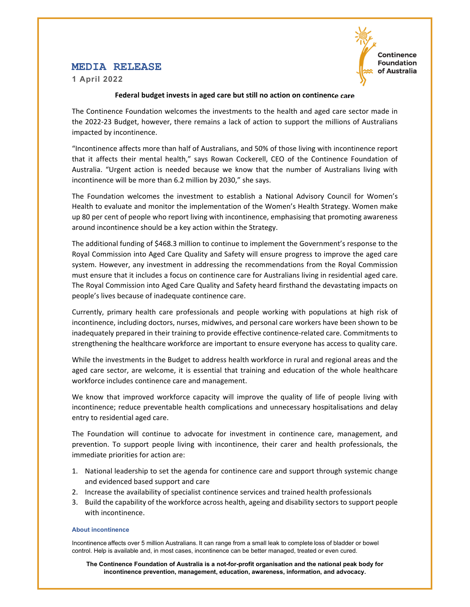# **MEDIA RELEASE**

**1 April 2022** 



## **Federal budget invests in aged care but still no action on continence care**

The Continence Foundation welcomes the investments to the health and aged care sector made in the 2022‐23 Budget, however, there remains a lack of action to support the millions of Australians impacted by incontinence.

"Incontinence affects more than half of Australians, and 50% of those living with incontinence report that it affects their mental health," says Rowan Cockerell, CEO of the Continence Foundation of Australia. "Urgent action is needed because we know that the number of Australians living with incontinence will be more than 6.2 million by 2030," she says.

The Foundation welcomes the investment to establish a National Advisory Council for Women's Health to evaluate and monitor the implementation of the Women's Health Strategy. Women make up 80 per cent of people who report living with incontinence, emphasising that promoting awareness around incontinence should be a key action within the Strategy.

The additional funding of \$468.3 million to continue to implement the Government's response to the Royal Commission into Aged Care Quality and Safety will ensure progress to improve the aged care system. However, any investment in addressing the recommendations from the Royal Commission must ensure that it includes a focus on continence care for Australians living in residential aged care. The Royal Commission into Aged Care Quality and Safety heard firsthand the devastating impacts on people's lives because of inadequate continence care.

Currently, primary health care professionals and people working with populations at high risk of incontinence, including doctors, nurses, midwives, and personal care workers have been shown to be inadequately prepared in their training to provide effective continence-related care. Commitments to strengthening the healthcare workforce are important to ensure everyone has access to quality care.

While the investments in the Budget to address health workforce in rural and regional areas and the aged care sector, are welcome, it is essential that training and education of the whole healthcare workforce includes continence care and management.

We know that improved workforce capacity will improve the quality of life of people living with incontinence; reduce preventable health complications and unnecessary hospitalisations and delay entry to residential aged care.

The Foundation will continue to advocate for investment in continence care, management, and prevention. To support people living with incontinence, their carer and health professionals, the immediate priorities for action are:

- 1. National leadership to set the agenda for continence care and support through systemic change and evidenced based support and care
- 2. Increase the availability of specialist continence services and trained health professionals
- 3. Build the capability of the workforce across health, ageing and disability sectors to support people with incontinence.

### **About incontinence**

Incontinence affects over 5 million Australians. It can range from a small leak to complete loss of bladder or bowel control. Help is available and, in most cases, incontinence can be better managed, treated or even cured.

**The Continence Foundation of Australia is a not-for-profit organisation and the national peak body for incontinence prevention, management, education, awareness, information, and advocacy.**